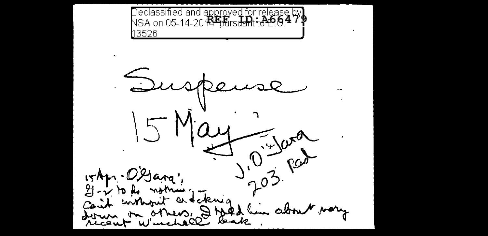Declassified and approved for release by<br>NSA on 05-14-20 <del>ISFpt</del>irs<del>dan</del>t to 0.4 7 P 13526

 $D$  $5Mc$  $0^{-4/4}$  $15$ Apr - $U$ X  $2j - \gamma$  to be notring Can't without a felecia on others, I told him about vory ourn ricent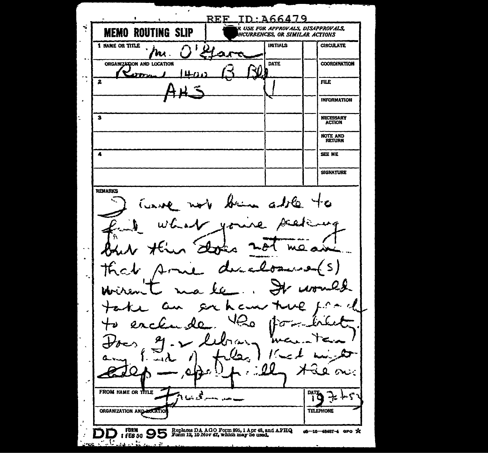**REF ID: A66479** .<br>R USE FOR APPROVALS, DISAPPROVALS, **MEMO ROUTING SLIP** NCURRENCES, OR SIMILAR ACTIONS 1 NAME OR TITLE **INITIALS CIRCULATE** ni. ORGANIZATION AND LOCATION **DATE COORDINATION** un.  $\boldsymbol{z}$ **FILE INFORMATION** J. NECESSARY<br>ACTION  $\overline{\mathbf{3}}$ NOTE AND<br>RETURN  $\overline{\mathbf{A}}$ SEE ME **SIGNATURE REMARKS**  $aJf_{Q}$ Я  $\zeta$ イム Х  $\mathbf{u}$ The FROM NAME OR TITLE DATE  $\mathcal{F}$ ORGANIZATION AND LOCAT **TELEPHONE** FORM CONSTRESS OR AGO Form 805, 1 Apr 48, and AFHQ I FEB 50 Solution 12, 10 Nov 47, which may be used. o6-16-48487-4 GPO X V. . . <del>.</del> . ≃. .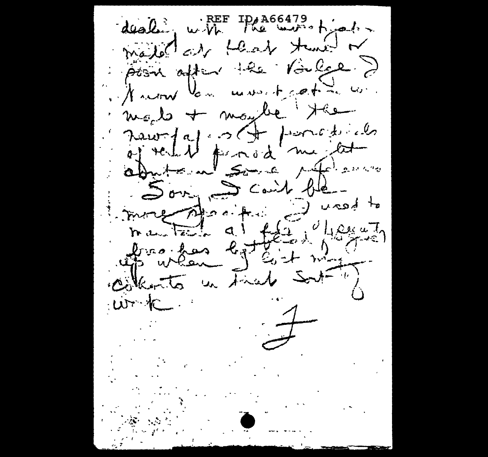dealing with the winstrates madel at that the de point after the Voiler ? I return los moved coting con. maybe + maybe the revoyagement pources abritoin some référence Son Scout ble manden al fée il vost collects in Final Sort  $w<sub>1</sub>$  $\frac{1}{2}$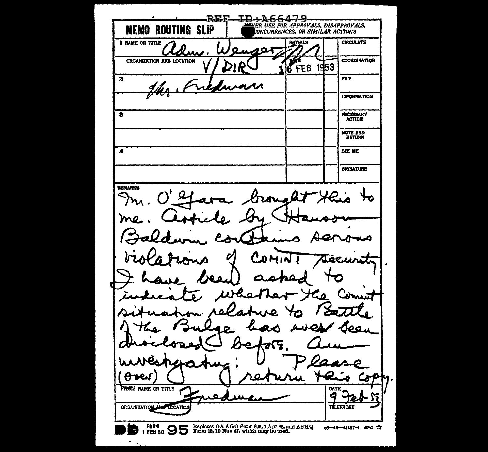**REF** ∓р÷А6 VER USE FOR APPROVALS, DISAPPROVALS, **MEMO ROUTING SLIP** CONCURRENCES. OR SIMILAR ACTIONS **1 NAME OR TITLE CIRCULATE INITIALS** גסי Ω **COORDINATION** ORGANIZATION AND LOCATION **6** FEB 1953 FILE  $\overline{\mathbf{z}}$ **INFORMATION** NECESSARY<br>ACTION  $\overline{\mathbf{s}}$ NOTE AND<br>RETURN SEE ME  $\overline{\mathbf{A}}$ **SIGNATURE REMARKS** ualt Ha ľ ъe U **FROTA NAME OR TITLE** DATE ORGANIZATION MAY LOCATIO **THE EPHONE** FORM 95 OS Replaces DA AGO Form 395, 1 Apr 48, and AFHQ 08-16-48487-4 GPO X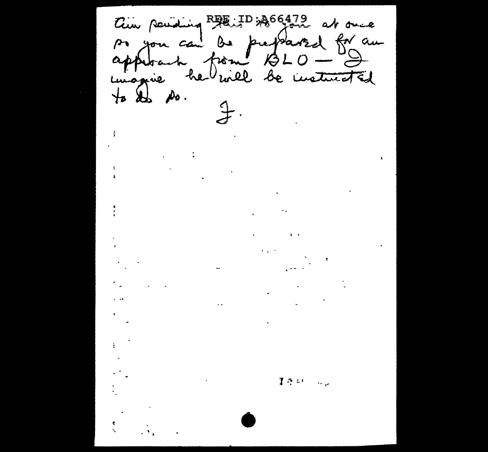Cin pointing RAE: ID: 366472 at once<br>Pr you can be prepared for an<br>approach from 13LO - I an  $\mathcal{F}$  $\mathcal{A}^{\text{max}}$  $\label{eq:2.1} \frac{1}{4}\sum_{i=1}^n\frac{1}{2}\sum_{j=1}^n\frac{1}{2}\sum_{j=1}^n\frac{1}{2}\sum_{j=1}^n\frac{1}{2}\sum_{j=1}^n\frac{1}{2}\sum_{j=1}^n\frac{1}{2}\sum_{j=1}^n\frac{1}{2}\sum_{j=1}^n\frac{1}{2}\sum_{j=1}^n\frac{1}{2}\sum_{j=1}^n\frac{1}{2}\sum_{j=1}^n\frac{1}{2}\sum_{j=1}^n\frac{1}{2}\sum_{j=1}^n\frac{1}{2}\sum_{j=1}^n\$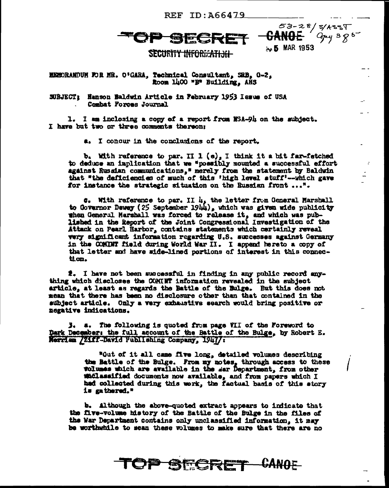REF ID: A66479

**Massic** 



SECURITY INFORMATION-

EEMORANDUM FOR MR. O'GARA, Technical Consultant, SRB, G-2, Room 1400 "B" Building, ARS

SUBJECT: Hanson Baldwin Article in February 1953 Issue of USA Combat Forces Journal

1. I am inclosing a copy of a report from NSA-94 on the subject. I have but two or three comments thereon:

a. I concur in the conclusions of the report.

 $b_1$  With reference to par. II 1 (e), I think it a bit far-fetched to deduce an implication that we "possibly mounted a successful effort against Russian communications, " merely from the statement by Baldwin that "the deficiencies of much of this 'high level stuff'--which gave for instance the strategic situation on the Russian front ...".

**C.** With reference to par. II  $l_1$ , the letter from General Marshall to Governor Dewey (25 September 1944), which was given wide publicity when General Marshall was forced to release it, and which was published in the Report of the Joint Congressional Investigation of the Attack on Pearl Harbor, contains statements which certainly reveal very significant information regarding U.S. successes against Germany in the COMINT field during World War II. I append hereto a copy of that letter and have side-lined portions of interest in this connection.

 $\hat{z}_*$  I have not been successful in finding in any public record anything which discloses the COMINT information revealed in the subject article, at least as regards the Battle of the Bulge. But this does not mean that there has been no disclosure other than that contained in the subject article. Only a very exhaustive search would bring positive or negative indications.

 $3.$  a. The following is quoted from page VII of the Foreword to Dark December: the full account of the Battle of the Bulge, by Robert E. Merrian /21ff-David Publishing Company, 1947/:

> "Out of it all came five long, detailed volumes describing the Battle of the Bulge. From my notes, through access to these wolumes which are available in the sar Department, from other maclassified documents now available, and from papers which I had collected during this work, the factual basis of this story is gathered."

> > **TOP SECRET CANOE**

b. Although the above-quoted extract appears to indicate that the five-volume history of the Battle of the Bulge in the files of the War Department contains only unclassified information, it may be worthwhile to scan these volumes to make sure that there are no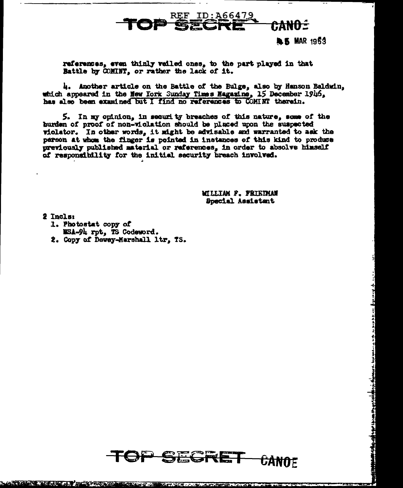### **REF ID:A66479** eano -

**L.S. MAR 1953** 

إرده يراثل يجديا بالرديات بازيد وساعد لبرط وزيري

أارفوه وجويوهم وبردوا مراويه والإبريما أترام الأ

references, even thinly veiled ones, to the part played in that Battle by COMINT, or rather the lack of it.

4. Another article on the Battle of the Bulge, also by Hanson Baldwin. which appeared in the New York Sunday Times Nagazine, 15 December 1946, has also been examined but I find no references to COMINT therein.

5. In my opinion, in security breaches of this nature, some of the burden of proof of non-violation should be placed upon the suspected violator. In other words, it might be advisable and warranted to ask the person at whom the finger is pointed in instances of this kind to produce previously published material or references, in order to absolve himself of responsibility for the initial security breach involved.

> **WILLIAM P. FRIEDMAN** Special Assistant

2 Incls:

- 1. Photostat copy of WSA-94 rpt, TS Codeword.
- 2. Copy of Dewey-Marshall ltr. TS.

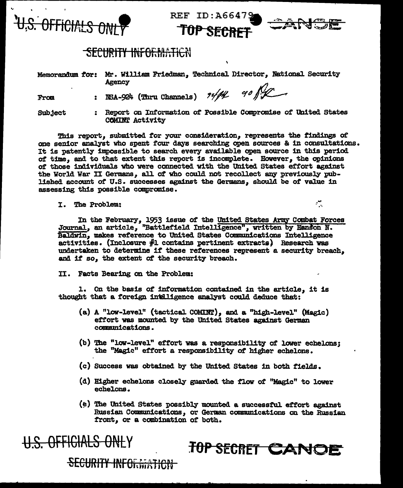

REF ID:A66479<br>TOP SECRET



## -<del>SECURITY INFORMATICN</del>

Memorarldum *tor:* Mr. William Friedman, Technical Director, National Security Agency

From : NSA-924 (Thru Channels)  $\frac{74}{11}$  90  $\frac{6}{11}$ 

Subject : Report on Information of Possible Compromise of United States COMINT Activity

This report, submitted tor your consideration, represents the findings or one senior analyst who spent four days searching open sources & in consultations. It is patently impossible to search every available open source in this period of time, and to that extent this report is incomplete. However, the opinions of those individuals who were connected with the United States effort against the World War II Germans, all of who could not recollect any previously published account of U.S. successes against the Germans, should be of value in assessing this possible compranise.

I. The Problem:  $\mathcal{L}$ 

In the February, 1953 issue of the United States Army Combat Forces Journal, an article, "Battlefield Intelligence", written by Hanson N. Baldwin, makes reference to United States Communications Intelligence activities. (Inclosure fl contains pertinent extracts) Research vas undertaken to determine 1f' these references represent a security breach, and if so, the extent of the security breach.

II. Facts Bearing on the Problem:

1. On the basis of information contained in the article, it is thought that a foreign intelligence analyst could deduce that:

- (a) A "low-level" (tactical COMINT), and a "high-level" (Magic) effort was mounted by the United States against German communications.
- (b) The "low-level" effort was a responsibility of lower echelons; the "Magic" effort a responsibility of higher echelons.
- (c) Success was obtained by the United States in both fields.
- (d) Higher echelons closely guarded the flow of "Magic" to lower echelons.
- (e) The United States possibly mounted a successful effort against Russian Communications, or German communications on the Russian front, or a combination *ot* both.

TOP SECRET CANOE

SECURITY INFORMATION

U.S. OFFICIALS ONLY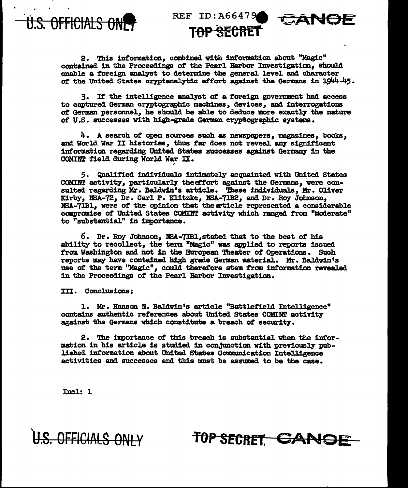

REF ID: A66479 <del>SFCRFT</del>



2. This information, combined with information about "Magic" contained in the Proceedings of the Pearl Harbor Investigation. should enable a foreign analyst to determine the general level and character of the United States cryptanalytic effort against the Germans in 1944-45.

3. If the intelligence mnalyst of a foreign government had access to captured German cryptographic machines, devices, and interrogations of German personnel, he should be able to deduce more exactly the nature of U.S. successes with high-grade German cryptographic systems.

 $4.$  A search of open sources such as newspapers, magazines, books, and World War II histories, thus far does not reveal any significant information regarding United States successes against Germany in the COMINT field during World War II.

5. Qualified individuals intimately acquainted with United States COMINT activity, particularly the effort against the Germans, were consulted regarding Mr. Baldwin's article. These individuals, Mr. Oliver Kirby, NSA-72, Dr. Carl P. Klitzke, NSA-71B2, and Dr. Roy Johnson, NSA-71B1, were of the opinion that the article represented a considerable compromise of United States COMINT activity which ranged from "moderate" to "substantial" in importance.

6. Dr. Roy Johnson, NSA-71B1, stated that to the best of his ability to recollect, the term "Magic" was applied to reports issued from Washington and not in the European Theater of Operations. Such reports may have contained high grade German material. Mr. Baldwin's use of the term "Magic", could therefore stem from information revealed in the Proceedings of the Pearl Harbor Investigation.

III. Conclusions:

1. Mr. Hanson N. Baldwin's article "Battlefield Intelligence" contains authentic references about United States COMINT activity against the Germans which constitute a breach of security.

2. The importance of this breach is substantial when the information in his article is studied in conjunction with previously published information about United States Communication Intelligence activities and successes and this must be assumed to be the case.

Incl: 1

U.S. OFFICIALS ONLY

TOP SECRET CANGE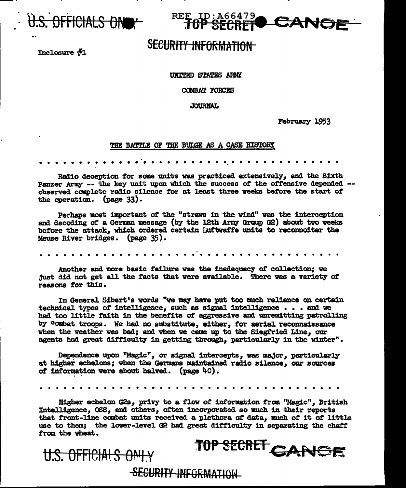

REE ID: A66479 CANA SECRET

# **SECURITY INFORMATION**

Inclosure  $#1$ 

### **URITED STATES ARMY**

COMBAT FORCES

**JOURNAL** 

**February 1953** 

#### THE BATTLE OF THE BULGE AS A CASE HISTORY

Radio deception for some units was practiced extensively, and the Sixth Panzer Army -- the key unit upon which the success of the offensive depended -observed complete radio silence for at least three weeks before the start of the operation. (page 33).

Perhans most important of the "straws in the wind" was the interception and decoding of a German message (by the 12th Army Group G2) about two weeks before the attack, which ordered certain Luftwaffe units to reconnoiter the Meuse River bridges. (page 35).

Another and more basic failure was the inadequacy of collection; we just did not get all the facts that were available. There was a variety of reasons for this.

In General Sibert's words "we may have put too much reliance on certain technical types of intelligence, such as signal intelligence . . . and we had too little faith in the benefits of aggressive and unremitting patrolling by combat troops. We had no substitute, either, for aerial reconnaissance when the weather was bad; and when we came up to the Siegfried Line, our agents had great difficulty in getting through, particularly in the winter".

Dependence upon "Magic", or signal intercepts, was major, particularly at higher echelons; when the Germans maintained radio silence, our sources of information were about halved. (page 40).

Higher echelon G2s, privy to a flow of information from "Magic", British Intelligence, OSS, and others, often incorporated so much in their reports that front-line combat units received a plethora of data, much of it of little use to them; the lower-level G2 had great difficulty in separating the chaff from the wheat.

TOP SECRET CANCE

SECURITY INFORMATION

U.S. OFFICIALS ONLY